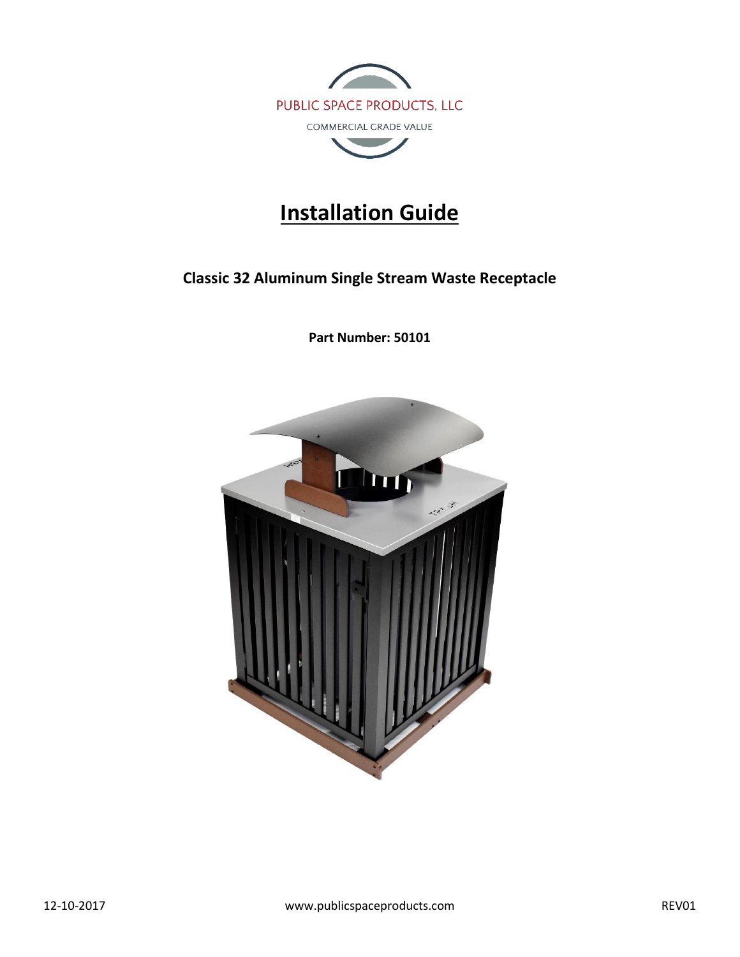

# **Installation Guide**

# **Classic 32 Aluminum Single Stream Waste Receptacle**

**Part Number: 50101**

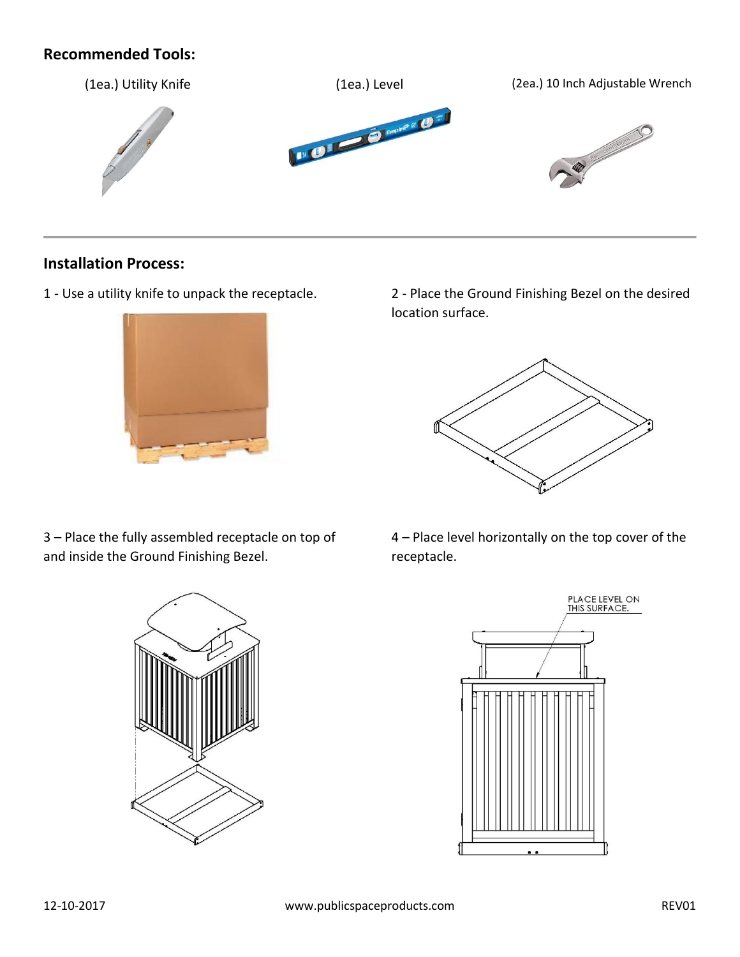### **Recommended Tools:**



#### **Installation Process:**



1 - Use a utility knife to unpack the receptacle. 2 - Place the Ground Finishing Bezel on the desired location surface.



3 – Place the fully assembled receptacle on top of and inside the Ground Finishing Bezel.



4 – Place level horizontally on the top cover of the receptacle.